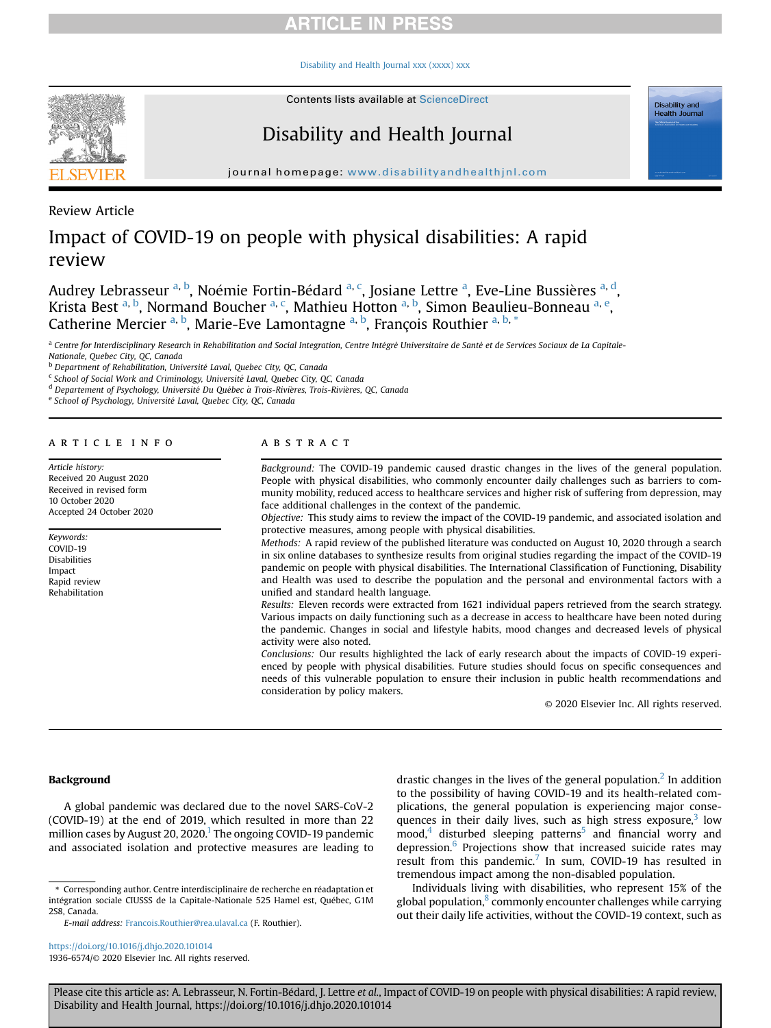[Disability and Health Journal xxx \(xxxx\) xxx](https://doi.org/10.1016/j.dhjo.2020.101014)



Contents lists available at [ScienceDirect](www.sciencedirect.com/science/journal/19366574)

# Disability and Health Journal

journal homepage: <www.disabilityandhealthjnl.com>

Review Article

# Impact of COVID-19 on people with physical disabilities: A rapid review

Audrey Lebrasseur <sup>[a,](#page-0-0) [b](#page-0-1)</sup>, Noémie Fortin-Bédard <sup>a, [c](#page-0-2)</sup>, Josi[a](#page-0-0)ne Lettre <sup>a</sup>, Eve-Line Bussières <sup>a, [d](#page-0-3)</sup>, Krista Best <sup>[a,](#page-0-0) [b](#page-0-1)</sup>, Normand Bou[c](#page-0-2)her <sup>[a](#page-0-0), c</sup>, Mathi[e](#page-0-4)u Hotton <sup>a, b</sup>, Simon Beaulieu-Bonneau <sup>a, e</sup>, Catherine Mercier <sup>[a,](#page-0-0) [b](#page-0-1)</sup>, M[a](#page-0-0)rie-Eve Lamontagne <sup>a, b</sup>, François Routhier <sup>a, [b,](#page-0-1) [\\*](#page-0-5)</sup>

<span id="page-0-0"></span><sup>a</sup> Centre for Interdisciplinary Research in Rehabilitation and Social Integration, Centre Intégré Universitaire de Santé et de Services Sociaux de La Capitale-Nationale, Quebec City, QC, Canada

<span id="page-0-1"></span>**b** Department of Rehabilitation, Université Laval, Quebec City, QC, Canada

<span id="page-0-2"></span><sup>c</sup> School of Social Work and Criminology, Université Laval, Quebec City, QC, Canada

<span id="page-0-3"></span><sup>d</sup> Departement of Psychology, Université Du Québec à Trois-Rivières, Trois-Rivières, QC, Canada

<span id="page-0-4"></span>e School of Psychology, Université Laval, Quebec City, QC, Canada

### article info

Article history: Received 20 August 2020 Received in revised form 10 October 2020 Accepted 24 October 2020

Keywords: COVID-19 Disabilities Impact Rapid review Rehabilitation

### **ABSTRACT**

Background: The COVID-19 pandemic caused drastic changes in the lives of the general population. People with physical disabilities, who commonly encounter daily challenges such as barriers to community mobility, reduced access to healthcare services and higher risk of suffering from depression, may face additional challenges in the context of the pandemic.

Objective: This study aims to review the impact of the COVID-19 pandemic, and associated isolation and protective measures, among people with physical disabilities.

Methods: A rapid review of the published literature was conducted on August 10, 2020 through a search in six online databases to synthesize results from original studies regarding the impact of the COVID-19 pandemic on people with physical disabilities. The International Classification of Functioning, Disability and Health was used to describe the population and the personal and environmental factors with a unified and standard health language.

Results: Eleven records were extracted from 1621 individual papers retrieved from the search strategy. Various impacts on daily functioning such as a decrease in access to healthcare have been noted during the pandemic. Changes in social and lifestyle habits, mood changes and decreased levels of physical activity were also noted.

Conclusions: Our results highlighted the lack of early research about the impacts of COVID-19 experienced by people with physical disabilities. Future studies should focus on specific consequences and needs of this vulnerable population to ensure their inclusion in public health recommendations and consideration by policy makers.

© 2020 Elsevier Inc. All rights reserved.

Disability and<br>Health Journal

### Background

A global pandemic was declared due to the novel SARS-CoV-2 (COVID-19) at the end of 2019, which resulted in more than 22 million cases by August 20, 2020.<sup>1</sup> The ongoing COVID-19 pandemic and associated isolation and protective measures are leading to

<span id="page-0-5"></span>\* Corresponding author. Centre interdisciplinaire de recherche en réadaptation et intégration sociale CIUSSS de la Capitale-Nationale 525 Hamel est, Québec, G1M 2S8, Canada.

E-mail address: [Francois.Routhier@rea.ulaval.ca](mailto:Francois.Routhier@rea.ulaval.ca) (F. Routhier).

<https://doi.org/10.1016/j.dhjo.2020.101014> 1936-6574/© 2020 Elsevier Inc. All rights reserved. drastic changes in the lives of the general population.<sup>2</sup> In addition to the possibility of having COVID-19 and its health-related complications, the general population is experiencing major consequences in their daily lives, such as high stress exposure, $3 \text{ low}$  $mood$ ,<sup>4</sup> disturbed sleeping patterns<sup>[5](#page-7-4)</sup> and financial worry and depression. $6$  Projections show that increased suicide rates may result from this pandemic.<sup>[7](#page-7-6)</sup> In sum, COVID-19 has resulted in tremendous impact among the non-disabled population.

Individuals living with disabilities, who represent 15% of the global population, $\frac{8}{3}$  commonly encounter challenges while carrying out their daily life activities, without the COVID-19 context, such as

Please cite this article as: A. Lebrasseur, N. Fortin-Bédard, J. Lettre et al., Impact of COVID-19 on people with physical disabilities: A rapid review, Disability and Health Journal, https://doi.org/10.1016/j.dhjo.2020.101014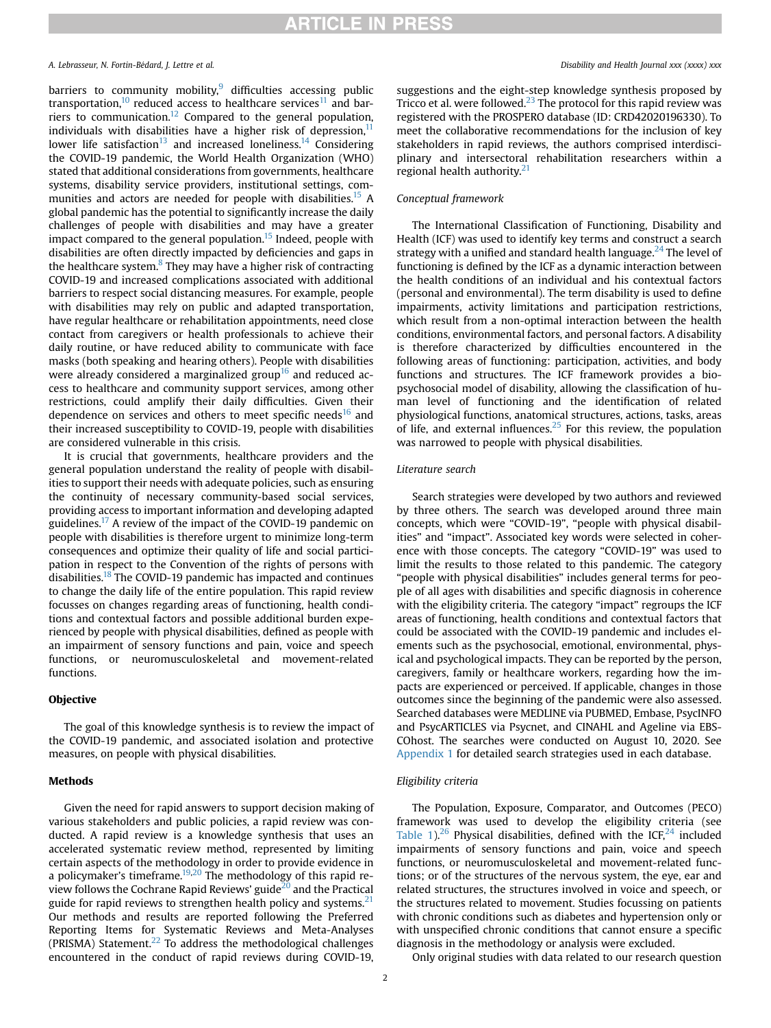### A. Lebrasseur, N. Fortin-Bédard, J. Lettre et al. Disability and Health Journal xxx (xxxx) xxx

barriers to community mobility, $9$  difficulties accessing public transportation,<sup>[10](#page-7-9)</sup> reduced access to healthcare services<sup>[11](#page-7-10)</sup> and bar-riers to communication.<sup>[12](#page-7-11)</sup> Compared to the general population, individuals with disabilities have a higher risk of depression, $11$ lower life satisfaction<sup>[13](#page-7-12)</sup> and increased loneliness.<sup>[14](#page-7-13)</sup> Considering the COVID-19 pandemic, the World Health Organization (WHO) stated that additional considerations from governments, healthcare systems, disability service providers, institutional settings, communities and actors are needed for people with disabilities.<sup>15</sup> A global pandemic has the potential to significantly increase the daily challenges of people with disabilities and may have a greater impact compared to the general population.<sup>15</sup> Indeed, people with disabilities are often directly impacted by deficiencies and gaps in the healthcare system. $8$  They may have a higher risk of contracting COVID-19 and increased complications associated with additional barriers to respect social distancing measures. For example, people with disabilities may rely on public and adapted transportation, have regular healthcare or rehabilitation appointments, need close contact from caregivers or health professionals to achieve their daily routine, or have reduced ability to communicate with face masks (both speaking and hearing others). People with disabilities were already considered a marginalized group<sup>[16](#page-7-15)</sup> and reduced access to healthcare and community support services, among other restrictions, could amplify their daily difficulties. Given their dependence on services and others to meet specific needs $16$  and their increased susceptibility to COVID-19, people with disabilities are considered vulnerable in this crisis.

It is crucial that governments, healthcare providers and the general population understand the reality of people with disabilities to support their needs with adequate policies, such as ensuring the continuity of necessary community-based social services, providing access to important information and developing adapted guidelines.<sup>17</sup> A review of the impact of the COVID-19 pandemic on people with disabilities is therefore urgent to minimize long-term consequences and optimize their quality of life and social participation in respect to the Convention of the rights of persons with disabilities[.18](#page-7-17) The COVID-19 pandemic has impacted and continues to change the daily life of the entire population. This rapid review focusses on changes regarding areas of functioning, health conditions and contextual factors and possible additional burden experienced by people with physical disabilities, defined as people with an impairment of sensory functions and pain, voice and speech functions, or neuromusculoskeletal and movement-related functions.

### Objective

The goal of this knowledge synthesis is to review the impact of the COVID-19 pandemic, and associated isolation and protective measures, on people with physical disabilities.

### Methods

Given the need for rapid answers to support decision making of various stakeholders and public policies, a rapid review was conducted. A rapid review is a knowledge synthesis that uses an accelerated systematic review method, represented by limiting certain aspects of the methodology in order to provide evidence in a policymaker's timeframe. $19,20$  $19,20$  The methodology of this rapid review follows the Cochrane Rapid Reviews' guide $^{20}$  and the Practical guide for rapid reviews to strengthen health policy and systems.<sup>[21](#page-7-20)</sup> Our methods and results are reported following the Preferred Reporting Items for Systematic Reviews and Meta-Analyses (PRISMA) Statement.[22](#page-7-21) To address the methodological challenges encountered in the conduct of rapid reviews during COVID-19, suggestions and the eight-step knowledge synthesis proposed by Tricco et al. were followed. $^{23}$  $^{23}$  $^{23}$  The protocol for this rapid review was registered with the PROSPERO database (ID: CRD42020196330). To meet the collaborative recommendations for the inclusion of key stakeholders in rapid reviews, the authors comprised interdisciplinary and intersectoral rehabilitation researchers within a regional health authority.<sup>[21](#page-7-20)</sup>

### Conceptual framework

The International Classification of Functioning, Disability and Health (ICF) was used to identify key terms and construct a search strategy with a unified and standard health language. $^{24}$  $^{24}$  $^{24}$  The level of functioning is defined by the ICF as a dynamic interaction between the health conditions of an individual and his contextual factors (personal and environmental). The term disability is used to define impairments, activity limitations and participation restrictions, which result from a non-optimal interaction between the health conditions, environmental factors, and personal factors. A disability is therefore characterized by difficulties encountered in the following areas of functioning: participation, activities, and body functions and structures. The ICF framework provides a biopsychosocial model of disability, allowing the classification of human level of functioning and the identification of related physiological functions, anatomical structures, actions, tasks, areas of life, and external influences. $25$  For this review, the population was narrowed to people with physical disabilities.

### Literature search

Search strategies were developed by two authors and reviewed by three others. The search was developed around three main concepts, which were "COVID-19", "people with physical disabilities" and "impact". Associated key words were selected in coherence with those concepts. The category "COVID-19" was used to limit the results to those related to this pandemic. The category "people with physical disabilities" includes general terms for people of all ages with disabilities and specific diagnosis in coherence with the eligibility criteria. The category "impact" regroups the ICF areas of functioning, health conditions and contextual factors that could be associated with the COVID-19 pandemic and includes elements such as the psychosocial, emotional, environmental, physical and psychological impacts. They can be reported by the person, caregivers, family or healthcare workers, regarding how the impacts are experienced or perceived. If applicable, changes in those outcomes since the beginning of the pandemic were also assessed. Searched databases were MEDLINE via PUBMED, Embase, PsycINFO and PsycARTICLES via Psycnet, and CINAHL and Ageline via EBS-COhost. The searches were conducted on August 10, 2020. See Appendix 1 for detailed search strategies used in each database.

### Eligibility criteria

The Population, Exposure, Comparator, and Outcomes (PECO) framework was used to develop the eligibility criteria (see [Table 1\)](#page-2-0).<sup>[26](#page-7-25)</sup> Physical disabilities, defined with the ICF,<sup>[24](#page-7-23)</sup> included impairments of sensory functions and pain, voice and speech functions, or neuromusculoskeletal and movement-related functions; or of the structures of the nervous system, the eye, ear and related structures, the structures involved in voice and speech, or the structures related to movement. Studies focussing on patients with chronic conditions such as diabetes and hypertension only or with unspecified chronic conditions that cannot ensure a specific diagnosis in the methodology or analysis were excluded.

Only original studies with data related to our research question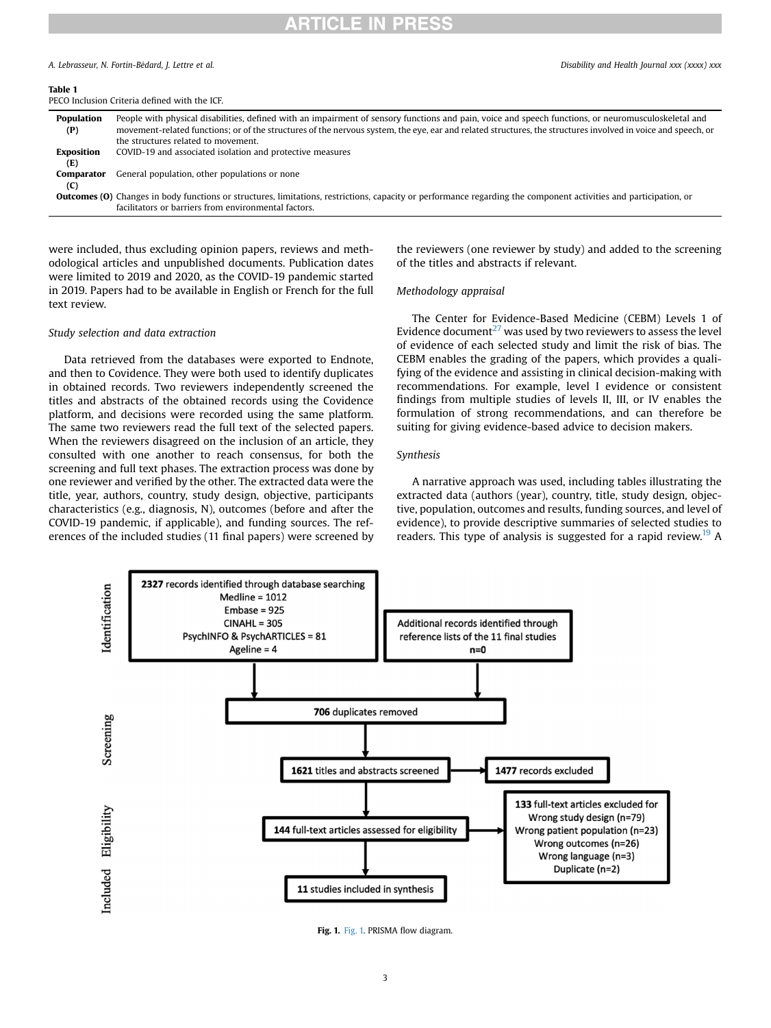### A. Lebrasseur, N. Fortin-Bédard, J. Lettre et al. Disability and Health Journal xxx (xxxx) xxx

### <span id="page-2-0"></span>Table 1

PECO Inclusion Criteria defined with the ICF.

| <b>Population</b><br>(P) | People with physical disabilities, defined with an impairment of sensory functions and pain, voice and speech functions, or neuromusculoskeletal and<br>movement-related functions; or of the structures of the nervous system, the eye, ear and related structures, the structures involved in voice and speech, or |
|--------------------------|----------------------------------------------------------------------------------------------------------------------------------------------------------------------------------------------------------------------------------------------------------------------------------------------------------------------|
|                          | the structures related to movement.                                                                                                                                                                                                                                                                                  |
| <b>Exposition</b>        | COVID-19 and associated isolation and protective measures                                                                                                                                                                                                                                                            |
| (E)                      |                                                                                                                                                                                                                                                                                                                      |
| Comparator               | General population, other populations or none                                                                                                                                                                                                                                                                        |
| (C)                      |                                                                                                                                                                                                                                                                                                                      |
|                          | <b>Outcomes (O)</b> Changes in body functions or structures, limitations, restrictions, capacity or performance regarding the component activities and participation, or                                                                                                                                             |
|                          | facilitators or barriers from environmental factors.                                                                                                                                                                                                                                                                 |

were included, thus excluding opinion papers, reviews and methodological articles and unpublished documents. Publication dates were limited to 2019 and 2020, as the COVID-19 pandemic started in 2019. Papers had to be available in English or French for the full text review.

### Study selection and data extraction

Data retrieved from the databases were exported to Endnote, and then to Covidence. They were both used to identify duplicates in obtained records. Two reviewers independently screened the titles and abstracts of the obtained records using the Covidence platform, and decisions were recorded using the same platform. The same two reviewers read the full text of the selected papers. When the reviewers disagreed on the inclusion of an article, they consulted with one another to reach consensus, for both the screening and full text phases. The extraction process was done by one reviewer and verified by the other. The extracted data were the title, year, authors, country, study design, objective, participants characteristics (e.g., diagnosis, N), outcomes (before and after the COVID-19 pandemic, if applicable), and funding sources. The references of the included studies (11 final papers) were screened by

the reviewers (one reviewer by study) and added to the screening of the titles and abstracts if relevant.

### Methodology appraisal

The Center for Evidence-Based Medicine (CEBM) Levels 1 of Evidence document<sup>[27](#page-7-26)</sup> was used by two reviewers to assess the level of evidence of each selected study and limit the risk of bias. The CEBM enables the grading of the papers, which provides a qualifying of the evidence and assisting in clinical decision-making with recommendations. For example, level I evidence or consistent findings from multiple studies of levels II, III, or IV enables the formulation of strong recommendations, and can therefore be suiting for giving evidence-based advice to decision makers.

### Synthesis

A narrative approach was used, including tables illustrating the extracted data (authors (year), country, title, study design, objective, population, outcomes and results, funding sources, and level of evidence), to provide descriptive summaries of selected studies to readers. This type of analysis is suggested for a rapid review.<sup>[19](#page-7-18)</sup> A

<span id="page-2-1"></span>

[Fig. 1.](#page-2-1) Fig. 1. PRISMA flow diagram.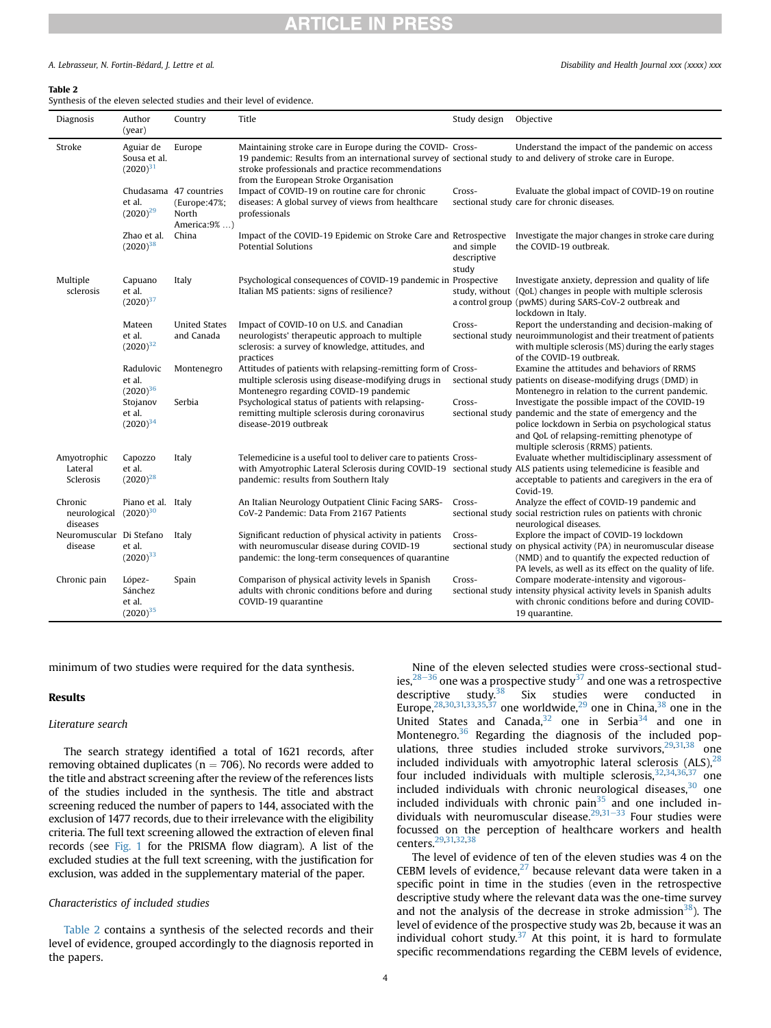### A. Lebrasseur, N. Fortin-Bédard, J. Lettre et al. Disability and Health Journal xxx (xxxx) xxx

### <span id="page-3-0"></span>Table 2

Synthesis of the eleven selected studies and their level of evidence.

| Diagnosis                           | Author<br>(year)                             | Country                                                         | Title                                                                                                                                                                                                                                                                      | Study design                       | Objective                                                                                                                                                                                                                                                 |
|-------------------------------------|----------------------------------------------|-----------------------------------------------------------------|----------------------------------------------------------------------------------------------------------------------------------------------------------------------------------------------------------------------------------------------------------------------------|------------------------------------|-----------------------------------------------------------------------------------------------------------------------------------------------------------------------------------------------------------------------------------------------------------|
| Stroke                              | Aguiar de<br>Sousa et al.<br>$(2020)^{31}$   | Europe                                                          | Maintaining stroke care in Europe during the COVID- Cross-<br>19 pandemic: Results from an international survey of sectional study to and delivery of stroke care in Europe.<br>stroke professionals and practice recommendations<br>from the European Stroke Organisation |                                    | Understand the impact of the pandemic on access                                                                                                                                                                                                           |
|                                     | et al.<br>$(2020)^{29}$                      | Chudasama 47 countries<br>(Europe:47%;<br>North<br>America:9% ) | Impact of COVID-19 on routine care for chronic<br>diseases: A global survey of views from healthcare<br>professionals                                                                                                                                                      | Cross-                             | Evaluate the global impact of COVID-19 on routine<br>sectional study care for chronic diseases.                                                                                                                                                           |
|                                     | Zhao et al.<br>$(2020)^{38}$                 | China                                                           | Impact of the COVID-19 Epidemic on Stroke Care and Retrospective<br><b>Potential Solutions</b>                                                                                                                                                                             | and simple<br>descriptive<br>study | Investigate the major changes in stroke care during<br>the COVID-19 outbreak.                                                                                                                                                                             |
| Multiple<br>sclerosis               | Capuano<br>et al.<br>$(2020)^{37}$           | Italy                                                           | Psychological consequences of COVID-19 pandemic in Prospective<br>Italian MS patients: signs of resilience?                                                                                                                                                                |                                    | Investigate anxiety, depression and quality of life<br>study, without (QoL) changes in people with multiple sclerosis<br>a control group (pwMS) during SARS-CoV-2 outbreak and<br>lockdown in Italy.                                                      |
|                                     | Mateen<br>et al.<br>$(2020)^{32}$            | <b>United States</b><br>and Canada                              | Impact of COVID-10 on U.S. and Canadian<br>neurologists' therapeutic approach to multiple<br>sclerosis: a survey of knowledge, attitudes, and<br>practices                                                                                                                 | Cross-                             | Report the understanding and decision-making of<br>sectional study neuroimmunologist and their treatment of patients<br>with multiple sclerosis (MS) during the early stages<br>of the COVID-19 outbreak.                                                 |
|                                     | Radulovic<br>et al.<br>$(2020)^{36}$         | Montenegro                                                      | Attitudes of patients with relapsing-remitting form of Cross-<br>multiple sclerosis using disease-modifying drugs in<br>Montenegro regarding COVID-19 pandemic                                                                                                             |                                    | Examine the attitudes and behaviors of RRMS<br>sectional study patients on disease-modifying drugs (DMD) in<br>Montenegro in relation to the current pandemic.                                                                                            |
|                                     | Stojanov<br>et al.<br>$(2020)^{34}$          | Serbia                                                          | Psychological status of patients with relapsing-<br>remitting multiple sclerosis during coronavirus<br>disease-2019 outbreak                                                                                                                                               | Cross-                             | Investigate the possible impact of the COVID-19<br>sectional study pandemic and the state of emergency and the<br>police lockdown in Serbia on psychological status<br>and QoL of relapsing-remitting phenotype of<br>multiple sclerosis (RRMS) patients. |
| Amyotrophic<br>Lateral<br>Sclerosis | Capozzo<br>et al.<br>$(2020)^{28}$           | Italy                                                           | Telemedicine is a useful tool to deliver care to patients Cross-<br>with Amyotrophic Lateral Sclerosis during COVID-19 sectional study ALS patients using telemedicine is feasible and<br>pandemic: results from Southern Italy                                            |                                    | Evaluate whether multidisciplinary assessment of<br>acceptable to patients and caregivers in the era of<br>Covid-19.                                                                                                                                      |
| Chronic<br>neurological<br>diseases | Piano et al. Italy<br>$(2020)^{30}$          |                                                                 | An Italian Neurology Outpatient Clinic Facing SARS-<br>CoV-2 Pandemic: Data From 2167 Patients                                                                                                                                                                             | Cross-                             | Analyze the effect of COVID-19 pandemic and<br>sectional study social restriction rules on patients with chronic<br>neurological diseases.                                                                                                                |
| Neuromuscular Di Stefano<br>disease | et al.<br>$(2020)^{33}$                      | Italy                                                           | Significant reduction of physical activity in patients<br>with neuromuscular disease during COVID-19<br>pandemic: the long-term consequences of quarantine                                                                                                                 | Cross-                             | Explore the impact of COVID-19 lockdown<br>sectional study on physical activity (PA) in neuromuscular disease<br>(NMD) and to quantify the expected reduction of<br>PA levels, as well as its effect on the quality of life.                              |
| Chronic pain                        | López-<br>Sánchez<br>et al.<br>$(2020)^{35}$ | Spain                                                           | Comparison of physical activity levels in Spanish<br>adults with chronic conditions before and during<br>COVID-19 quarantine                                                                                                                                               | Cross-                             | Compare moderate-intensity and vigorous-<br>sectional study intensity physical activity levels in Spanish adults<br>with chronic conditions before and during COVID-<br>19 quarantine.                                                                    |

minimum of two studies were required for the data synthesis.

### Results

### Literature search

The search strategy identified a total of 1621 records, after removing obtained duplicates ( $n = 706$ ). No records were added to the title and abstract screening after the review of the references lists of the studies included in the synthesis. The title and abstract screening reduced the number of papers to 144, associated with the exclusion of 1477 records, due to their irrelevance with the eligibility criteria. The full text screening allowed the extraction of eleven final records (see [Fig. 1](#page-2-1) for the PRISMA flow diagram). A list of the excluded studies at the full text screening, with the justification for exclusion, was added in the supplementary material of the paper.

### Characteristics of included studies

[Table 2](#page-3-0) contains a synthesis of the selected records and their level of evidence, grouped accordingly to the diagnosis reported in the papers.

Nine of the eleven selected studies were cross-sectional studies,  $28-36$  $28-36$  $28-36$  one was a prospective study<sup>[37](#page-8-0)</sup> and one was a retrospective descriptive study.<sup>38</sup> Six studies were conducted in Europe,<sup>28,[30](#page-8-2)[,31,](#page-8-3)[33](#page-8-4),[35,](#page-8-5)[37](#page-8-0)</sup> one worldwide,<sup>[29](#page-7-28)</sup> one in China,<sup>[38](#page-8-1)</sup> one in the United States and Canada, $32$  one in Serbia $34$  and one in Montenegro.<sup>[36](#page-8-8)</sup> Regarding the diagnosis of the included populations, three studies included stroke survivors, $29,31,38$  $29,31,38$  $29,31,38$  one included individuals with amyotrophic lateral sclerosis  $(ALS)$ ,  $28$ four included individuals with multiple sclerosis,  $32,34,36,37$  $32,34,36,37$  $32,34,36,37$  $32,34,36,37$  $32,34,36,37$  one included individuals with chronic neurological diseases, $30$  one included individuals with chronic pain $35$  and one included individuals with neuromuscular disease. $29,31-33$  $29,31-33$  $29,31-33$  $29,31-33$  Four studies were focussed on the perception of healthcare workers and health centers[.29](#page-7-28)[,31](#page-8-3)[,32](#page-8-6),[38](#page-8-1)

The level of evidence of ten of the eleven studies was 4 on the CEBM levels of evidence, $27$  because relevant data were taken in a specific point in time in the studies (even in the retrospective descriptive study where the relevant data was the one-time survey and not the analysis of the decrease in stroke admission $38$ ). The level of evidence of the prospective study was 2b, because it was an individual cohort study. $37$  At this point, it is hard to formulate specific recommendations regarding the CEBM levels of evidence,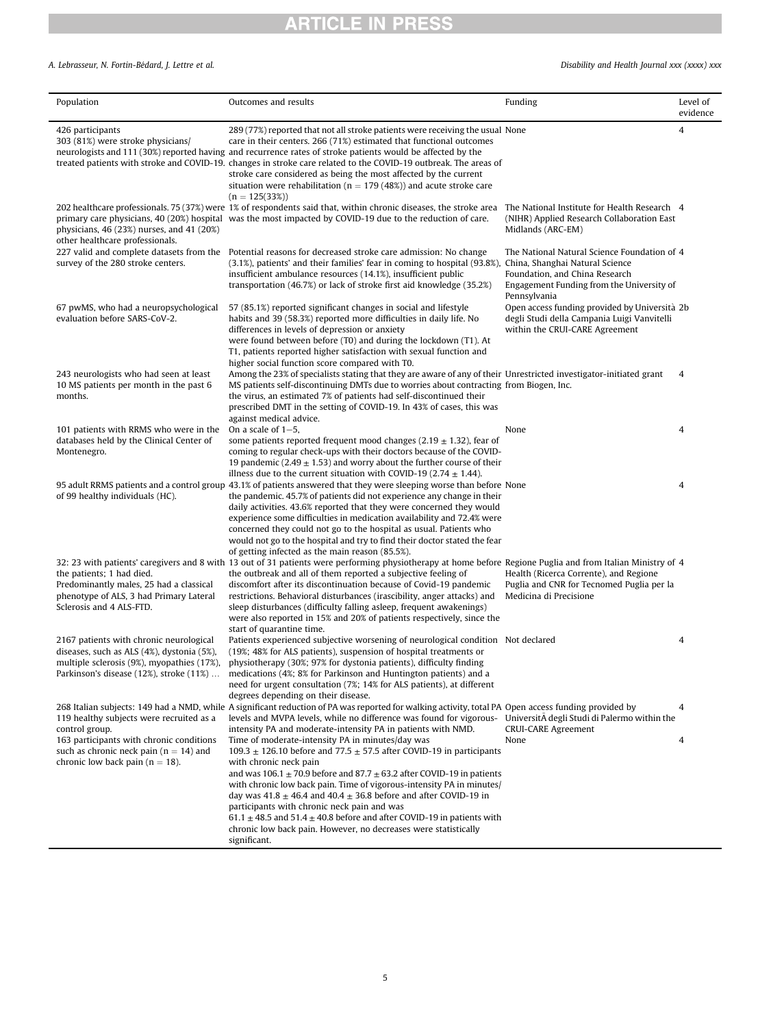### A. Lebrasseur, N. Fortin-Bédard, J. Lettre et al. **Exercípsis 1988** Disability and Health Journal xxx (xxxx) xxx

| Population                                                                                                                                  | Outcomes and results                                                                                                                                                                                                                                                                                                                                                                                                                                                                                                                                                                                                  | Funding                                                                                                                                                                        | Level of<br>evidence |
|---------------------------------------------------------------------------------------------------------------------------------------------|-----------------------------------------------------------------------------------------------------------------------------------------------------------------------------------------------------------------------------------------------------------------------------------------------------------------------------------------------------------------------------------------------------------------------------------------------------------------------------------------------------------------------------------------------------------------------------------------------------------------------|--------------------------------------------------------------------------------------------------------------------------------------------------------------------------------|----------------------|
| 426 participants<br>303 (81%) were stroke physicians/                                                                                       | 289 (77%) reported that not all stroke patients were receiving the usual None<br>care in their centers. 266 (71%) estimated that functional outcomes<br>neurologists and 111 (30%) reported having and recurrence rates of stroke patients would be affected by the<br>treated patients with stroke and COVID-19. changes in stroke care related to the COVID-19 outbreak. The areas of<br>stroke care considered as being the most affected by the current<br>situation were rehabilitation ( $n = 179$ (48%)) and acute stroke care<br>$(n = 125(33\%)$                                                             |                                                                                                                                                                                | 4                    |
| physicians, 46 (23%) nurses, and 41 (20%)<br>other healthcare professionals.                                                                | 202 healthcare professionals. 75 (37%) were 1% of respondents said that, within chronic diseases, the stroke area<br>primary care physicians, 40 (20%) hospital was the most impacted by COVID-19 due to the reduction of care.                                                                                                                                                                                                                                                                                                                                                                                       | The National Institute for Health Research 4<br>(NIHR) Applied Research Collaboration East<br>Midlands (ARC-EM)                                                                |                      |
| survey of the 280 stroke centers.                                                                                                           | 227 valid and complete datasets from the Potential reasons for decreased stroke care admission: No change<br>(3.1%), patients' and their families' fear in coming to hospital (93.8%),<br>insufficient ambulance resources (14.1%), insufficient public<br>transportation (46.7%) or lack of stroke first aid knowledge (35.2%)                                                                                                                                                                                                                                                                                       | The National Natural Science Foundation of 4<br>China, Shanghai Natural Science<br>Foundation, and China Research<br>Engagement Funding from the University of<br>Pennsylvania |                      |
| 67 pwMS, who had a neuropsychological<br>evaluation before SARS-CoV-2.                                                                      | 57 (85.1%) reported significant changes in social and lifestyle<br>habits and 39 (58.3%) reported more difficulties in daily life. No<br>differences in levels of depression or anxiety<br>were found between before (T0) and during the lockdown (T1). At<br>T1, patients reported higher satisfaction with sexual function and<br>higher social function score compared with T0.                                                                                                                                                                                                                                    | Open access funding provided by Università 2b<br>degli Studi della Campania Luigi Vanvitelli<br>within the CRUI-CARE Agreement                                                 |                      |
| 243 neurologists who had seen at least<br>10 MS patients per month in the past 6<br>months.                                                 | Among the 23% of specialists stating that they are aware of any of their Unrestricted investigator-initiated grant<br>MS patients self-discontinuing DMTs due to worries about contracting from Biogen, Inc.<br>the virus, an estimated 7% of patients had self-discontinued their<br>prescribed DMT in the setting of COVID-19. In 43% of cases, this was<br>against medical advice.                                                                                                                                                                                                                                 |                                                                                                                                                                                | $\overline{4}$       |
| 101 patients with RRMS who were in the                                                                                                      | On a scale of $1-5$ ,                                                                                                                                                                                                                                                                                                                                                                                                                                                                                                                                                                                                 | None                                                                                                                                                                           | $\overline{4}$       |
| databases held by the Clinical Center of<br>Montenegro.                                                                                     | some patients reported frequent mood changes (2.19 $\pm$ 1.32), fear of<br>coming to regular check-ups with their doctors because of the COVID-<br>19 pandemic (2.49 $\pm$ 1.53) and worry about the further course of their<br>illness due to the current situation with COVID-19 (2.74 $\pm$ 1.44).                                                                                                                                                                                                                                                                                                                 |                                                                                                                                                                                |                      |
| of 99 healthy individuals (HC).                                                                                                             | 95 adult RRMS patients and a control group 43.1% of patients answered that they were sleeping worse than before None<br>the pandemic. 45.7% of patients did not experience any change in their<br>daily activities. 43.6% reported that they were concerned they would<br>experience some difficulties in medication availability and 72.4% were<br>concerned they could not go to the hospital as usual. Patients who<br>would not go to the hospital and try to find their doctor stated the fear<br>of getting infected as the main reason (85.5%).                                                                |                                                                                                                                                                                | 4                    |
| the patients; 1 had died.<br>Predominantly males, 25 had a classical<br>phenotype of ALS, 3 had Primary Lateral<br>Sclerosis and 4 ALS-FTD. | 32: 23 with patients' caregivers and 8 with 13 out of 31 patients were performing physiotherapy at home before Regione Puglia and from Italian Ministry of 4<br>the outbreak and all of them reported a subjective feeling of<br>discomfort after its discontinuation because of Covid-19 pandemic<br>restrictions. Behavioral disturbances (irascibility, anger attacks) and<br>sleep disturbances (difficulty falling asleep, frequent awakenings)<br>were also reported in 15% and 20% of patients respectively, since the<br>start of quarantine time.                                                            | Health (Ricerca Corrente), and Regione<br>Puglia and CNR for Tecnomed Puglia per la<br>Medicina di Precisione                                                                  |                      |
| 2167 patients with chronic neurological<br>diseases, such as ALS (4%), dystonia (5%),<br>multiple sclerosis (9%), myopathies (17%),         | Patients experienced subjective worsening of neurological condition Not declared<br>(19%; 48% for ALS patients), suspension of hospital treatments or<br>physiotherapy (30%; 97% for dystonia patients), difficulty finding<br>Parkinson's disease (12%), stroke (11%)  medications (4%; 8% for Parkinson and Huntington patients) and a<br>need for urgent consultation (7%; 14% for ALS patients), at different<br>degrees depending on their disease.                                                                                                                                                              |                                                                                                                                                                                | 4                    |
| 119 healthy subjects were recruited as a<br>control group.                                                                                  | 268 Italian subjects: 149 had a NMD, while A significant reduction of PA was reported for walking activity, total PA Open access funding provided by<br>levels and MVPA levels, while no difference was found for vigorous- UniversitA degli Studi di Palermo within the<br>intensity PA and moderate-intensity PA in patients with NMD.                                                                                                                                                                                                                                                                              | <b>CRUI-CARE Agreement</b>                                                                                                                                                     | $\overline{4}$       |
| 163 participants with chronic conditions<br>such as chronic neck pain ( $n = 14$ ) and<br>chronic low back pain ( $n = 18$ ).               | Time of moderate-intensity PA in minutes/day was<br>109.3 $\pm$ 126.10 before and 77.5 $\pm$ 57.5 after COVID-19 in participants<br>with chronic neck pain<br>and was $106.1 \pm 70.9$ before and $87.7 \pm 63.2$ after COVID-19 in patients<br>with chronic low back pain. Time of vigorous-intensity PA in minutes/<br>day was $41.8 \pm 46.4$ and $40.4 \pm 36.8$ before and after COVID-19 in<br>participants with chronic neck pain and was<br>61.1 $\pm$ 48.5 and 51.4 $\pm$ 40.8 before and after COVID-19 in patients with<br>chronic low back pain. However, no decreases were statistically<br>significant. | None                                                                                                                                                                           | 4                    |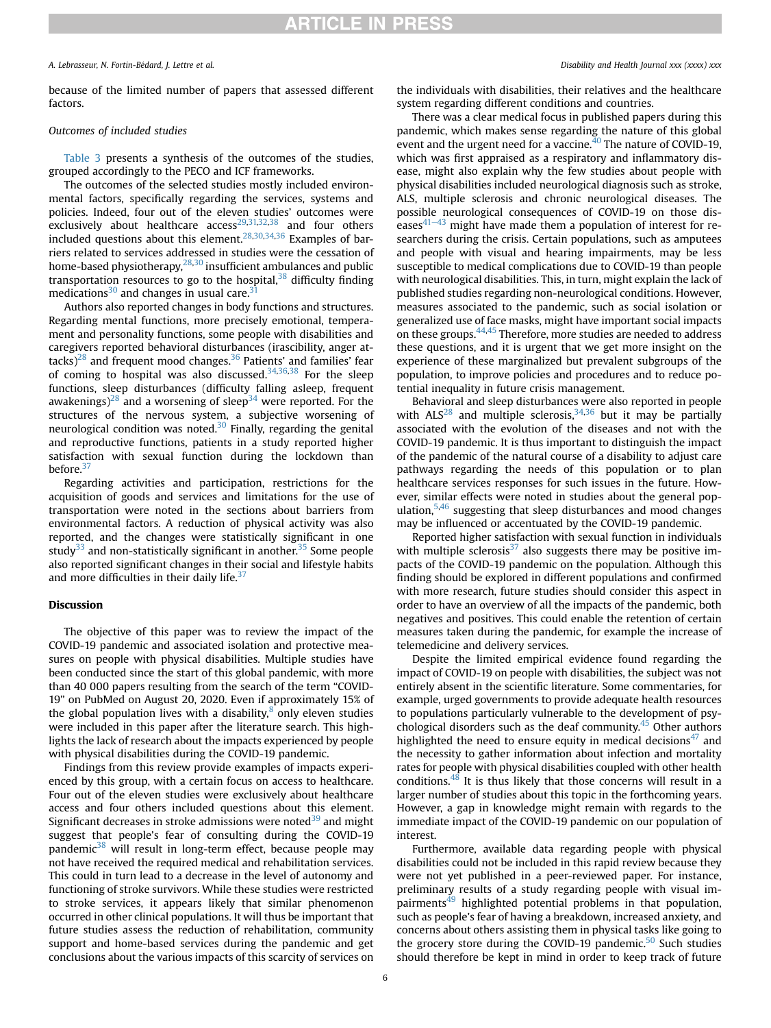### A. Lebrasseur, N. Fortin-Bédard, J. Lettre et al. Disability and Health Journal xxx (xxxx) xxx

because of the limited number of papers that assessed different factors.

### Outcomes of included studies

[Table 3](#page-6-0) presents a synthesis of the outcomes of the studies, grouped accordingly to the PECO and ICF frameworks.

The outcomes of the selected studies mostly included environmental factors, specifically regarding the services, systems and policies. Indeed, four out of the eleven studies' outcomes were exclusively about healthcare  $access^{29,31,32,38}$  $access^{29,31,32,38}$  $access^{29,31,32,38}$  $access^{29,31,32,38}$  $access^{29,31,32,38}$  and four others included questions about this element.<sup>[28,](#page-7-27)[30](#page-8-2),[34](#page-8-7)[,36](#page-8-8)</sup> Examples of barriers related to services addressed in studies were the cessation of home-based physiotherapy, $28,30$  $28,30$  insufficient ambulances and public transportation resources to go to the hospital, $38$  difficulty finding medications $30$  and changes in usual care.<sup>[31](#page-8-3)</sup>

Authors also reported changes in body functions and structures. Regarding mental functions, more precisely emotional, temperament and personality functions, some people with disabilities and caregivers reported behavioral disturbances (irascibility, anger at- $\text{tacks}$ <sup>[28](#page-7-27)</sup> and frequent mood changes.<sup>36</sup> Patients' and families' fear of coming to hospital was also discussed.<sup>[34,](#page-8-7)[36](#page-8-8),[38](#page-8-1)</sup> For the sleep functions, sleep disturbances (difficulty falling asleep, frequent awakenings)<sup>28</sup> and a worsening of sleep<sup>[34](#page-8-7)</sup> were reported. For the structures of the nervous system, a subjective worsening of neurological condition was noted. $30$  Finally, regarding the genital and reproductive functions, patients in a study reported higher satisfaction with sexual function during the lockdown than before.<sup>37</sup>

Regarding activities and participation, restrictions for the acquisition of goods and services and limitations for the use of transportation were noted in the sections about barriers from environmental factors. A reduction of physical activity was also reported, and the changes were statistically significant in one study $33$  and non-statistically significant in another.<sup>[35](#page-8-5)</sup> Some people also reported significant changes in their social and lifestyle habits and more difficulties in their daily life. $37$ 

### Discussion

The objective of this paper was to review the impact of the COVID-19 pandemic and associated isolation and protective measures on people with physical disabilities. Multiple studies have been conducted since the start of this global pandemic, with more than 40 000 papers resulting from the search of the term "COVID-19" on PubMed on August 20, 2020. Even if approximately 15% of the global population lives with a disability, $8$  only eleven studies were included in this paper after the literature search. This highlights the lack of research about the impacts experienced by people with physical disabilities during the COVID-19 pandemic.

Findings from this review provide examples of impacts experienced by this group, with a certain focus on access to healthcare. Four out of the eleven studies were exclusively about healthcare access and four others included questions about this element. Significant decreases in stroke admissions were noted $39$  and might suggest that people's fear of consulting during the COVID-19 pandemic<sup>[38](#page-8-1)</sup> will result in long-term effect, because people may not have received the required medical and rehabilitation services. This could in turn lead to a decrease in the level of autonomy and functioning of stroke survivors. While these studies were restricted to stroke services, it appears likely that similar phenomenon occurred in other clinical populations. It will thus be important that future studies assess the reduction of rehabilitation, community support and home-based services during the pandemic and get conclusions about the various impacts of this scarcity of services on

the individuals with disabilities, their relatives and the healthcare system regarding different conditions and countries.

There was a clear medical focus in published papers during this pandemic, which makes sense regarding the nature of this global event and the urgent need for a vaccine. $40$  The nature of COVID-19, which was first appraised as a respiratory and inflammatory disease, might also explain why the few studies about people with physical disabilities included neurological diagnosis such as stroke, ALS, multiple sclerosis and chronic neurological diseases. The possible neurological consequences of COVID-19 on those diseases $41-43$  $41-43$  $41-43$  might have made them a population of interest for researchers during the crisis. Certain populations, such as amputees and people with visual and hearing impairments, may be less susceptible to medical complications due to COVID-19 than people with neurological disabilities. This, in turn, might explain the lack of published studies regarding non-neurological conditions. However, measures associated to the pandemic, such as social isolation or generalized use of face masks, might have important social impacts on these groups.[44](#page-8-12),[45](#page-8-13) Therefore, more studies are needed to address these questions, and it is urgent that we get more insight on the experience of these marginalized but prevalent subgroups of the population, to improve policies and procedures and to reduce potential inequality in future crisis management.

Behavioral and sleep disturbances were also reported in people with  $ALS^{28}$  $ALS^{28}$  $ALS^{28}$  and multiple sclerosis,  $34,36$  $34,36$  but it may be partially associated with the evolution of the diseases and not with the COVID-19 pandemic. It is thus important to distinguish the impact of the pandemic of the natural course of a disability to adjust care pathways regarding the needs of this population or to plan healthcare services responses for such issues in the future. However, similar effects were noted in studies about the general population, $5,46$  $5,46$  suggesting that sleep disturbances and mood changes may be influenced or accentuated by the COVID-19 pandemic.

Reported higher satisfaction with sexual function in individuals with multiple sclerosis<sup>[37](#page-8-0)</sup> also suggests there may be positive impacts of the COVID-19 pandemic on the population. Although this finding should be explored in different populations and confirmed with more research, future studies should consider this aspect in order to have an overview of all the impacts of the pandemic, both negatives and positives. This could enable the retention of certain measures taken during the pandemic, for example the increase of telemedicine and delivery services.

Despite the limited empirical evidence found regarding the impact of COVID-19 on people with disabilities, the subject was not entirely absent in the scientific literature. Some commentaries, for example, urged governments to provide adequate health resources to populations particularly vulnerable to the development of psychological disorders such as the deaf community.[45](#page-8-13) Other authors highlighted the need to ensure equity in medical decisions<sup> $47$ </sup> and the necessity to gather information about infection and mortality rates for people with physical disabilities coupled with other health conditions.[48](#page-8-16) It is thus likely that those concerns will result in a larger number of studies about this topic in the forthcoming years. However, a gap in knowledge might remain with regards to the immediate impact of the COVID-19 pandemic on our population of interest.

Furthermore, available data regarding people with physical disabilities could not be included in this rapid review because they were not yet published in a peer-reviewed paper. For instance, preliminary results of a study regarding people with visual im $pairments<sup>49</sup>$  highlighted potential problems in that population, such as people's fear of having a breakdown, increased anxiety, and concerns about others assisting them in physical tasks like going to the grocery store during the COVID-19 pandemic. $50$  Such studies should therefore be kept in mind in order to keep track of future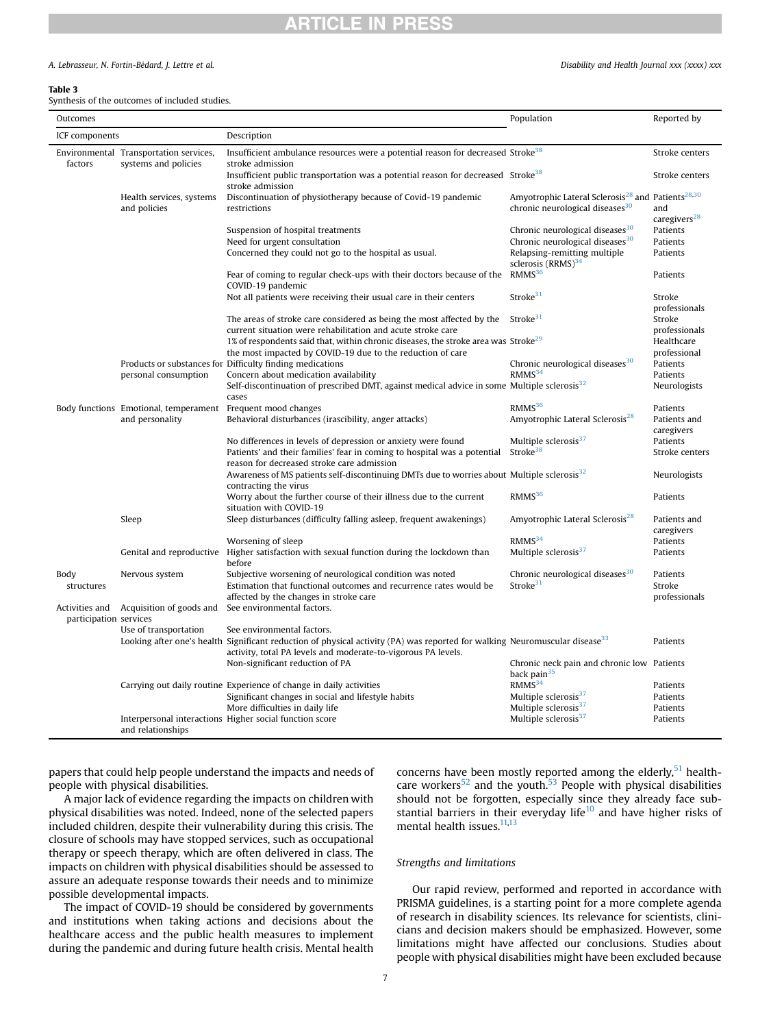### A. Lebrasseur, N. Fortin-Bedard, J. Lettre et al. Disability and Health Journal xxx (xxxx) xxx

### <span id="page-6-0"></span>Table 3

Synthesis of the outcomes of included studies.

| Outcomes                                 |                                                                | Population                                                                                                                                                                                                                  | Reported by                                                                                                              |                                             |  |
|------------------------------------------|----------------------------------------------------------------|-----------------------------------------------------------------------------------------------------------------------------------------------------------------------------------------------------------------------------|--------------------------------------------------------------------------------------------------------------------------|---------------------------------------------|--|
| ICF components                           |                                                                | Description                                                                                                                                                                                                                 |                                                                                                                          |                                             |  |
| factors                                  | Environmental Transportation services,<br>systems and policies | Insufficient ambulance resources were a potential reason for decreased Stroke <sup>38</sup><br>stroke admission                                                                                                             |                                                                                                                          | Stroke centers                              |  |
|                                          |                                                                | Insufficient public transportation was a potential reason for decreased Stroke <sup>38</sup><br>stroke admission                                                                                                            |                                                                                                                          | Stroke centers                              |  |
|                                          | Health services, systems<br>and policies                       | Discontinuation of physiotherapy because of Covid-19 pandemic<br>restrictions                                                                                                                                               | Amyotrophic Lateral Sclerosis <sup>28</sup> and Patients <sup>28,30</sup><br>chronic neurological diseases <sup>30</sup> | and<br>caregivers <sup>28</sup>             |  |
|                                          |                                                                | Suspension of hospital treatments<br>Need for urgent consultation                                                                                                                                                           | Chronic neurological diseases <sup>30</sup><br>Chronic neurological diseases <sup>30</sup>                               | Patients<br>Patients                        |  |
|                                          |                                                                | Concerned they could not go to the hospital as usual.                                                                                                                                                                       | Relapsing-remitting multiple<br>sclerosis $(RRMS)^{34}$                                                                  | Patients                                    |  |
|                                          |                                                                | Fear of coming to regular check-ups with their doctors because of the<br>COVID-19 pandemic                                                                                                                                  | RMMS <sup>36</sup>                                                                                                       | Patients                                    |  |
|                                          |                                                                | Not all patients were receiving their usual care in their centers                                                                                                                                                           | Stroke $31$                                                                                                              | Stroke<br>professionals                     |  |
|                                          |                                                                | The areas of stroke care considered as being the most affected by the                                                                                                                                                       | Stroke <sup>31</sup>                                                                                                     | Stroke                                      |  |
|                                          |                                                                | current situation were rehabilitation and acute stroke care<br>1% of respondents said that, within chronic diseases, the stroke area was Stroke <sup>29</sup><br>the most impacted by COVID-19 due to the reduction of care |                                                                                                                          | professionals<br>Healthcare<br>professional |  |
|                                          |                                                                | Products or substances for Difficulty finding medications                                                                                                                                                                   | Chronic neurological diseases <sup>30</sup>                                                                              | Patients                                    |  |
|                                          | personal consumption                                           | Concern about medication availability                                                                                                                                                                                       | RMMS <sup>34</sup>                                                                                                       | Patients                                    |  |
|                                          |                                                                | Self-discontinuation of prescribed DMT, against medical advice in some Multiple sclerosis $32$<br>cases                                                                                                                     |                                                                                                                          | Neurologists                                |  |
|                                          | Body functions Emotional, temperament                          | Frequent mood changes                                                                                                                                                                                                       | RMMS <sup>36</sup>                                                                                                       | Patients                                    |  |
|                                          | and personality                                                | Behavioral disturbances (irascibility, anger attacks)                                                                                                                                                                       | Amyotrophic Lateral Sclerosis <sup>28</sup>                                                                              | Patients and<br>caregivers                  |  |
|                                          |                                                                | No differences in levels of depression or anxiety were found                                                                                                                                                                | Multiple sclerosis <sup>37</sup>                                                                                         | Patients                                    |  |
|                                          |                                                                | Patients' and their families' fear in coming to hospital was a potential                                                                                                                                                    | Stroke <sup>38</sup>                                                                                                     | Stroke centers                              |  |
|                                          |                                                                | reason for decreased stroke care admission<br>Awareness of MS patients self-discontinuing DMTs due to worries about Multiple sclerosis <sup>32</sup>                                                                        |                                                                                                                          | Neurologists                                |  |
|                                          |                                                                | contracting the virus                                                                                                                                                                                                       |                                                                                                                          |                                             |  |
|                                          |                                                                | Worry about the further course of their illness due to the current<br>situation with COVID-19                                                                                                                               | RMMS <sup>36</sup>                                                                                                       | Patients                                    |  |
|                                          | Sleep                                                          | Sleep disturbances (difficulty falling asleep, frequent awakenings)                                                                                                                                                         | Amyotrophic Lateral Sclerosis <sup>28</sup>                                                                              | Patients and<br>caregivers                  |  |
|                                          |                                                                | Worsening of sleep                                                                                                                                                                                                          | RMMS <sup>34</sup>                                                                                                       | Patients                                    |  |
|                                          | Genital and reproductive                                       | Higher satisfaction with sexual function during the lockdown than<br>before                                                                                                                                                 | Multiple sclerosis <sup>37</sup>                                                                                         | Patients                                    |  |
| Body<br>structures                       | Nervous system                                                 | Subjective worsening of neurological condition was noted<br>Estimation that functional outcomes and recurrence rates would be                                                                                               | Chronic neurological diseases <sup>30</sup><br>Stroke <sup>31</sup>                                                      | Patients<br>Stroke                          |  |
| Activities and<br>participation services | Acquisition of goods and                                       | affected by the changes in stroke care<br>See environmental factors.                                                                                                                                                        |                                                                                                                          | professionals                               |  |
|                                          | Use of transportation                                          | See environmental factors.                                                                                                                                                                                                  |                                                                                                                          |                                             |  |
|                                          |                                                                | Looking after one's health Significant reduction of physical activity (PA) was reported for walking Neuromuscular disease <sup>33</sup><br>activity, total PA levels and moderate-to-vigorous PA levels.                    |                                                                                                                          | Patients                                    |  |
|                                          |                                                                | Non-significant reduction of PA                                                                                                                                                                                             | Chronic neck pain and chronic low Patients<br>back pain <sup>35</sup>                                                    |                                             |  |
|                                          |                                                                | Carrying out daily routine Experience of change in daily activities                                                                                                                                                         | RMMS <sup>34</sup>                                                                                                       | Patients                                    |  |
|                                          |                                                                | Significant changes in social and lifestyle habits                                                                                                                                                                          | Multiple sclerosis <sup>37</sup>                                                                                         | Patients                                    |  |
|                                          |                                                                | More difficulties in daily life<br>Interpersonal interactions Higher social function score                                                                                                                                  | Multiple sclerosis <sup>37</sup><br>Multiple sclerosis <sup>37</sup>                                                     | Patients<br>Patients                        |  |
|                                          | and relationships                                              |                                                                                                                                                                                                                             |                                                                                                                          |                                             |  |

papers that could help people understand the impacts and needs of people with physical disabilities.

A major lack of evidence regarding the impacts on children with physical disabilities was noted. Indeed, none of the selected papers included children, despite their vulnerability during this crisis. The closure of schools may have stopped services, such as occupational therapy or speech therapy, which are often delivered in class. The impacts on children with physical disabilities should be assessed to assure an adequate response towards their needs and to minimize possible developmental impacts.

The impact of COVID-19 should be considered by governments and institutions when taking actions and decisions about the healthcare access and the public health measures to implement during the pandemic and during future health crisis. Mental health concerns have been mostly reported among the elderly, $51$  health-care workers<sup>52</sup> and the youth.<sup>[53](#page-8-21)</sup> People with physical disabilities should not be forgotten, especially since they already face substantial barriers in their everyday life $10$  and have higher risks of mental health issues.<sup>11,[13](#page-7-12)</sup>

### Strengths and limitations

Our rapid review, performed and reported in accordance with PRISMA guidelines, is a starting point for a more complete agenda of research in disability sciences. Its relevance for scientists, clinicians and decision makers should be emphasized. However, some limitations might have affected our conclusions. Studies about people with physical disabilities might have been excluded because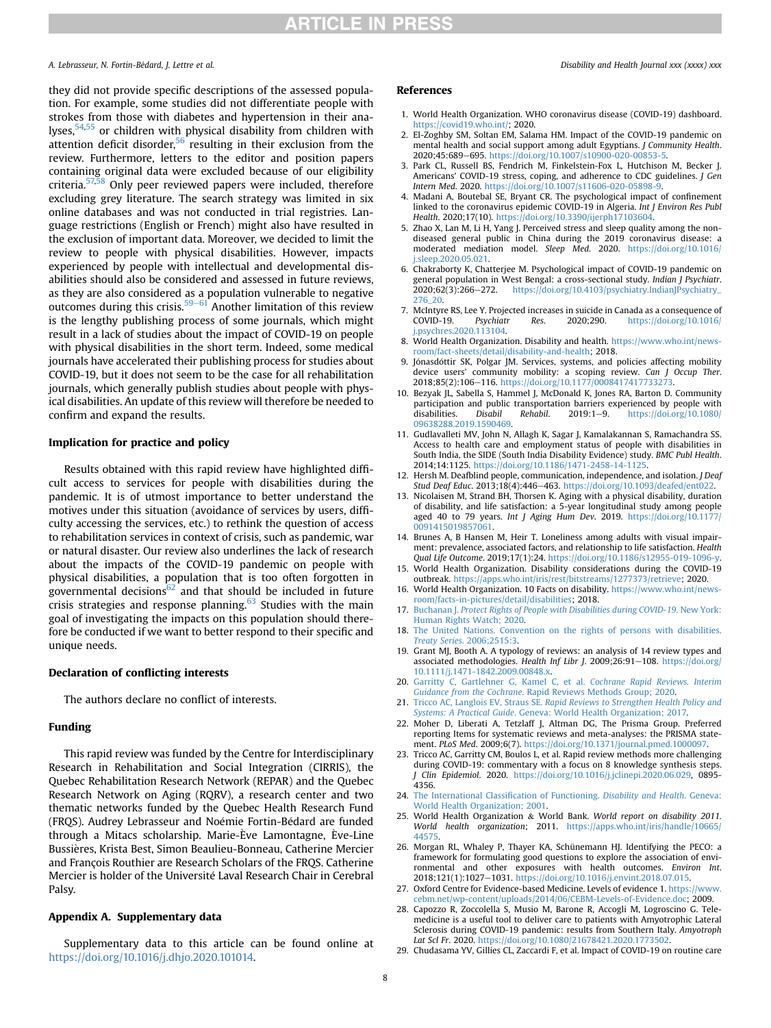### A. Lebrasseur, N. Fortin-Bédard, I. Lettre et al. Disability and Health Journal xxx (xxxx) xxx

they did not provide specific descriptions of the assessed population. For example, some studies did not differentiate people with strokes from those with diabetes and hypertension in their ana-lyses,<sup>[54](#page-8-22)[,55](#page-8-23)</sup> or children with physical disability from children with attention deficit disorder, $56$  resulting in their exclusion from the review. Furthermore, letters to the editor and position papers containing original data were excluded because of our eligibility criteria[.57](#page-8-25)[,58](#page-8-26) Only peer reviewed papers were included, therefore excluding grey literature. The search strategy was limited in six online databases and was not conducted in trial registries. Language restrictions (English or French) might also have resulted in the exclusion of important data. Moreover, we decided to limit the review to people with physical disabilities. However, impacts experienced by people with intellectual and developmental disabilities should also be considered and assessed in future reviews, as they are also considered as a population vulnerable to negative outcomes during this crisis.<sup>59–[61](#page-8-27)</sup> Another limitation of this review is the lengthy publishing process of some journals, which might result in a lack of studies about the impact of COVID-19 on people with physical disabilities in the short term. Indeed, some medical journals have accelerated their publishing process for studies about COVID-19, but it does not seem to be the case for all rehabilitation journals, which generally publish studies about people with physical disabilities. An update of this review will therefore be needed to confirm and expand the results.

### Implication for practice and policy

Results obtained with this rapid review have highlighted difficult access to services for people with disabilities during the pandemic. It is of utmost importance to better understand the motives under this situation (avoidance of services by users, difficulty accessing the services, etc.) to rethink the question of access to rehabilitation services in context of crisis, such as pandemic, war or natural disaster. Our review also underlines the lack of research about the impacts of the COVID-19 pandemic on people with physical disabilities, a population that is too often forgotten in governmental decisions<sup>[62](#page-8-28)</sup> and that should be included in future crisis strategies and response planning.<sup>[63](#page-8-29)</sup> Studies with the main goal of investigating the impacts on this population should therefore be conducted if we want to better respond to their specific and unique needs.

### Declaration of conflicting interests

The authors declare no conflict of interests.

### Funding

This rapid review was funded by the Centre for Interdisciplinary Research in Rehabilitation and Social Integration (CIRRIS), the Quebec Rehabilitation Research Network (REPAR) and the Quebec Research Network on Aging (RQRV), a research center and two thematic networks funded by the Quebec Health Research Fund (FRQS). Audrey Lebrasseur and Noémie Fortin-Bédard are funded through a Mitacs scholarship. Marie- Eve Lamontagne, Eve-Line Bussieres, Krista Best, Simon Beaulieu-Bonneau, Catherine Mercier and François Routhier are Research Scholars of the FRQS. Catherine Mercier is holder of the Universite Laval Research Chair in Cerebral Palsy.

### Appendix A. Supplementary data

Supplementary data to this article can be found online at [https://doi.org/10.1016/j.dhjo.2020.101014.](https://doi.org/10.1016/j.dhjo.2020.101014)

#### References

- <span id="page-7-0"></span>1. World Health Organization. WHO coronavirus disease (COVID-19) dashboard. [https://covid19.who.int/;](https://covid19.who.int/) 2020.
- <span id="page-7-1"></span>2. El-Zoghby SM, Soltan EM, Salama HM. Impact of the COVID-19 pandemic on mental health and social support among adult Egyptians. J Community Health. 2020;45:689-695. [https://doi.org/10.1007/s10900-020-00853-5.](https://doi.org/10.1007/s10900-020-00853-5)
- <span id="page-7-2"></span>3. Park CL, Russell BS, Fendrich M, Finkelstein-Fox L, Hutchison M, Becker J. Americans' COVID-19 stress, coping, and adherence to CDC guidelines. J Gen Intern Med. 2020. <https://doi.org/10.1007/s11606-020-05898-9>.
- <span id="page-7-3"></span>4. Madani A, Boutebal SE, Bryant CR. The psychological impact of confinement linked to the coronavirus epidemic COVID-19 in Algeria. Int J Environ Res Publ Health. 2020;17(10). <https://doi.org/10.3390/ijerph17103604>.
- <span id="page-7-4"></span>5. Zhao X, Lan M, Li H, Yang J. Perceived stress and sleep quality among the nondiseased general public in China during the 2019 coronavirus disease: a moderated mediation model. Sleep Med. 2020. [https://doi.org/10.1016/](https://doi.org/10.1016/j.sleep.2020.05.021) sleep.2020.05.021.
- <span id="page-7-5"></span>6. Chakraborty K, Chatterjee M. Psychological impact of COVID-19 pandemic on general population in West Bengal: a cross-sectional study. Indian J Psychiatr. 2020;62(3):266-272. [https://doi.org/10.4103/psychiatry.IndianJPsychiatry\\_](https://doi.org/10.4103/psychiatry.IndianJPsychiatry_276_20) [276\\_20.](https://doi.org/10.4103/psychiatry.IndianJPsychiatry_276_20)
- <span id="page-7-6"></span>7. McIntyre RS, Lee Y. Projected increases in suicide in Canada as a consequence of COVID-19. Psychiatr Res. 2020;290. https://doi.org/10.1016/ Psychiatr Res. 2020;290. [https://doi.org/10.1016/](https://doi.org/10.1016/j.psychres.2020.113104) [j.psychres.2020.113104](https://doi.org/10.1016/j.psychres.2020.113104).
- <span id="page-7-7"></span>8. World Health Organization. Disability and health. [https://www.who.int/news](https://www.who.int/news-room/fact-sheets/detail/disability-and-health)[room/fact-sheets/detail/disability-and-health;](https://www.who.int/news-room/fact-sheets/detail/disability-and-health) 2018.
- <span id="page-7-8"></span>9. Jónasdóttir SK, Polgar JM. Services, systems, and policies affecting mobility device users' community mobility: a scoping review. Can J Occup Ther. 2018;85(2):106-116. https://doi.org/10.1177/000841741773327
- <span id="page-7-9"></span>10. Bezyak JL, Sabella S, Hammel J, McDonald K, Jones RA, Barton D. Community participation and public transportation barriers experienced by people with disabilities. Disabil Rehabil. 2019:1-9. https://doi.org/10.1080/ [https://doi.org/10.1080/](https://doi.org/10.1080/09638288.2019.1590469) [09638288.2019.1590469.](https://doi.org/10.1080/09638288.2019.1590469)
- <span id="page-7-10"></span>11. Gudlavalleti MV, John N, Allagh K, Sagar J, Kamalakannan S, Ramachandra SS. Access to health care and employment status of people with disabilities in South India, the SIDE (South India Disability Evidence) study. BMC Publ Health. 2014;14:1125. [https://doi.org/10.1186/1471-2458-14-1125.](https://doi.org/10.1186/1471-2458-14-1125)
- <span id="page-7-11"></span>12. Hersh M. Deafblind people, communication, independence, and isolation. J Deaf Stud Deaf Educ. 2013;18(4):446-463. [https://doi.org/10.1093/deafed/ent022.](https://doi.org/10.1093/deafed/ent022)
- <span id="page-7-12"></span>13. Nicolaisen M, Strand BH, Thorsen K. Aging with a physical disability, duration of disability, and life satisfaction: a 5-year longitudinal study among people aged 40 to 79 years. Int J Aging Hum Dev. 2019. [https://doi.org/10.1177/](https://doi.org/10.1177/0091415019857061) [0091415019857061](https://doi.org/10.1177/0091415019857061).
- <span id="page-7-13"></span>14. Brunes A, B Hansen M, Heir T. Loneliness among adults with visual impairment: prevalence, associated factors, and relationship to life satisfaction. Health Qual Life Outcome. 2019;17(1):24. https://doi.org/10.1186/s12955-019-1096
- <span id="page-7-14"></span>15. World Health Organization. Disability considerations during the COVID-19 outbreak. <https://apps.who.int/iris/rest/bitstreams/1277373/retrieve>; 2020.
- <span id="page-7-15"></span>16. World Health Organization. 10 Facts on disability. [https://www.who.int/news](https://www.who.int/news-room/facts-in-pictures/detail/disabilities)[room/facts-in-pictures/detail/disabilities;](https://www.who.int/news-room/facts-in-pictures/detail/disabilities) 2018.
- <span id="page-7-16"></span>17. Buchanan J. [Protect Rights of People with Disabilities during COVID-19](http://refhub.elsevier.com/S1936-6574(20)30146-1/sref17). New York: [Human Rights Watch; 2020.](http://refhub.elsevier.com/S1936-6574(20)30146-1/sref17)
- <span id="page-7-17"></span>18. [The United Nations. Convention on the rights of persons with disabilities.](http://refhub.elsevier.com/S1936-6574(20)30146-1/sref18) Treaty Series[. 2006;2515:3.](http://refhub.elsevier.com/S1936-6574(20)30146-1/sref18)
- <span id="page-7-18"></span>19. Grant MJ, Booth A. A typology of reviews: an analysis of 14 review types and associated methodologies. Health Inf Libr J. 2009;26:91-108. [https://doi.org/](https://doi.org/10.1111/j.1471-1842.2009.00848.x) [10.1111/j.1471-1842.2009.00848.x](https://doi.org/10.1111/j.1471-1842.2009.00848.x).
- <span id="page-7-19"></span>20. [Garritty C, Gartlehner G, Kamel C, et al.](http://refhub.elsevier.com/S1936-6574(20)30146-1/sref20) Cochrane Rapid Reviews. Interim Guidance from the Cochrane[. Rapid Reviews Methods Group; 2020](http://refhub.elsevier.com/S1936-6574(20)30146-1/sref20).
- <span id="page-7-20"></span>21. Tricco AC, Langlois EV, Straus SE. [Rapid Reviews to Strengthen Health Policy and](http://refhub.elsevier.com/S1936-6574(20)30146-1/sref21) Systems: A Practical Guide[. Geneva: World Health Organization; 2017.](http://refhub.elsevier.com/S1936-6574(20)30146-1/sref21)
- <span id="page-7-21"></span>22. Moher D, Liberati A, Tetzlaff J, Altman DG, The Prisma Group. Preferred reporting Items for systematic reviews and meta-analyses: the PRISMA statement. PLoS Med. 2009;6(7). <https://doi.org/10.1371/journal.pmed.1000097>.
- <span id="page-7-22"></span>23. Tricco AC, Garritty CM, Boulos L, et al. Rapid review methods more challenging during COVID-19: commentary with a focus on 8 knowledge synthesis steps. J Clin Epidemiol. 2020. [https://doi.org/10.1016/j.jclinepi.2020.06.029,](https://doi.org/10.1016/j.jclinepi.2020.06.029) 0895- 4356.
- <span id="page-7-23"></span>24. [The International Classi](http://refhub.elsevier.com/S1936-6574(20)30146-1/sref24)fication of Functioning. Disability and Health. Geneva: [World Health Organization; 2001](http://refhub.elsevier.com/S1936-6574(20)30146-1/sref24).
- <span id="page-7-24"></span>25. World Health Organization & World Bank. World report on disability 2011. World health organization; 2011. [https://apps.who.int/iris/handle/10665/](https://apps.who.int/iris/handle/10665/44575) [44575.](https://apps.who.int/iris/handle/10665/44575)
- <span id="page-7-25"></span>26. Morgan RL, Whaley P, Thayer KA, Schünemann HJ. Identifying the PECO: a framework for formulating good questions to explore the association of environmental and other exposures with health outcomes. Environ Int. 2018;121(1):1027-1031. [https://doi.org/10.1016/j.envint.2018.07.015.](https://doi.org/10.1016/j.envint.2018.07.015)
- <span id="page-7-26"></span>27. Oxford Centre for Evidence-based Medicine. Levels of evidence 1. [https://www.](https://www.cebm.net/wp-content/uploads/2014/06/CEBM-Levels-of-Evidence.doc) [cebm.net/wp-content/uploads/2014/06/CEBM-Levels-of-Evidence.doc;](https://www.cebm.net/wp-content/uploads/2014/06/CEBM-Levels-of-Evidence.doc) 2009.
- <span id="page-7-27"></span>28. Capozzo R, Zoccolella S, Musio M, Barone R, Accogli M, Logroscino G. Telemedicine is a useful tool to deliver care to patients with Amyotrophic Lateral Sclerosis during COVID-19 pandemic: results from Southern Italy. Amyotroph Lat Scl Fr. 2020. <https://doi.org/10.1080/21678421.2020.1773502>.
- <span id="page-7-28"></span>29. Chudasama YV, Gillies CL, Zaccardi F, et al. Impact of COVID-19 on routine care